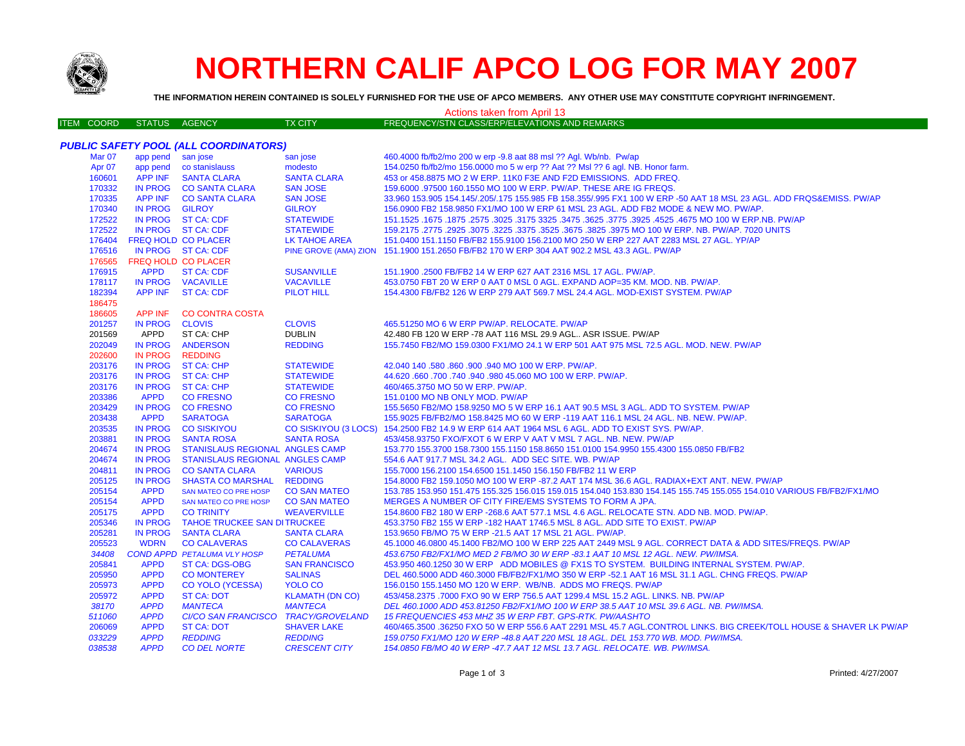

## **NORTHERN CALIF APCO LOG FOR MAY 2007**

**THE INFORMATION HEREIN CONTAINED IS SOLELY FURNISHED FOR THE USE OF APCO MEMBERS. ANY OTHER USE MAY CONSTITUTE COPYRIGHT INFRINGEMENT.**

| Actions taken from April 13 |                   |                            |                                       |                             |                                                                                                                       |  |
|-----------------------------|-------------------|----------------------------|---------------------------------------|-----------------------------|-----------------------------------------------------------------------------------------------------------------------|--|
|                             | <b>ITEM COORD</b> | <b>STATUS</b>              | AGENCY                                | <b>TX CITY</b>              | FREQUENCY/STN CLASS/ERP/ELEVATIONS AND REMARKS                                                                        |  |
|                             |                   |                            |                                       |                             |                                                                                                                       |  |
|                             |                   |                            | PUBLIC SAFETY POOL (ALL COORDINATORS) |                             |                                                                                                                       |  |
|                             | <b>Mar 07</b>     | app pend                   | san jose                              | san jose                    | 460.4000 fb/fb2/mo 200 w erp -9.8 aat 88 msl ?? Agl. Wb/nb. Pw/ap                                                     |  |
|                             | Apr 07            |                            | app pend co stanislauss               | modesto                     | 154.0250 fb/fb2/mo 156.0000 mo 5 w erp ?? Aat ?? Msl ?? 6 agl. NB. Honor farm.                                        |  |
|                             | 160601            | <b>APP INF</b>             | <b>SANTA CLARA</b>                    | <b>SANTA CLARA</b>          | 453 or 458.8875 MO 2 W ERP. 11K0 F3E AND F2D EMISSIONS. ADD FREQ.                                                     |  |
|                             | 170332            |                            | IN PROG CO SANTA CLARA                | <b>SAN JOSE</b>             | 159.6000 .97500 160.1550 MO 100 W ERP. PW/AP. THESE ARE IG FREQS.                                                     |  |
|                             | 170335            |                            | APP INF CO SANTA CLARA                | <b>SAN JOSE</b>             | 33.960 153.905 154.145/.205/.175 155.985 FB 158.355/.995 FX1 100 W ERP -50 AAT 18 MSL 23 AGL. ADD FRQS&EMISS. PW/AP   |  |
|                             | 170340            | IN PROG GILROY             |                                       | <b>GILROY</b>               | 156.0900 FB2 158.9850 FX1/MO 100 W ERP 61 MSL 23 AGL. ADD FB2 MODE & NEW MO. PW/AP.                                   |  |
|                             | 172522            |                            | IN PROG ST CA: CDF                    | <b>STATEWIDE</b>            | 167. 4675 MO 100 W ERP.NB. PW/AP 325. 3475 325. 3475 325. 3475 325. 3575 3025. 3675. 1675 1675. 3675. 1675 16         |  |
|                             | 172522            |                            | IN PROG ST CA: CDF                    | <b>STATEWIDE</b>            | 159.2175 .2775 .2925 .3075 .3225 .3375 .3525 .3675 .3825 .3975 MO 100 W ERP. NB. PW/AP. 7020 UNITS                    |  |
|                             | 176404            | <b>FREQ HOLD CO PLACER</b> |                                       | <b>LK TAHOE AREA</b>        | 151.0400 151.1150 FB/FB2 155.9100 156.2100 MO 250 W ERP 227 AAT 2283 MSL 27 AGL. YP/AP                                |  |
|                             | 176516            |                            | IN PROG ST CA: CDF                    |                             | PINE GROVE (AMA) ZION 151.1900 151.2650 FB/FB2 170 W ERP 304 AAT 902.2 MSL 43.3 AGL. PW/AP                            |  |
|                             | 176565            | FREQ HOLD CO PLACER        |                                       |                             |                                                                                                                       |  |
|                             | 176915            | <b>APPD</b>                | <b>ST CA: CDF</b>                     | <b>SUSANVILLE</b>           | 151.1900 .2500 FB/FB2 14 W ERP 627 AAT 2316 MSL 17 AGL. PW/AP.                                                        |  |
|                             | 178117            |                            | IN PROG VACAVILLE                     | <b>VACAVILLE</b>            | 453.0750 FBT 20 W ERP 0 AAT 0 MSL 0 AGL. EXPAND AOP=35 KM. MOD. NB. PW/AP.                                            |  |
|                             | 182394            |                            | APP INF ST CA: CDF                    | <b>PILOT HILL</b>           | 154.4300 FB/FB2 126 W ERP 279 AAT 569.7 MSL 24.4 AGL. MOD-EXIST SYSTEM. PW/AP                                         |  |
|                             | 186475            |                            |                                       |                             |                                                                                                                       |  |
|                             | 186605            | <b>APP INF</b>             | <b>CO CONTRA COSTA</b>                |                             |                                                                                                                       |  |
|                             | 201257            | IN PROG CLOVIS             |                                       | <b>CLOVIS</b>               | 465.51250 MO 6 W ERP PW/AP. RELOCATE. PW/AP                                                                           |  |
|                             | 201569            | APPD                       | ST CA: CHP                            | <b>DUBLIN</b>               | 42.480 FB 120 W ERP -78 AAT 116 MSL 29.9 AGL ASR ISSUE. PW/AP                                                         |  |
|                             | 202049            |                            | IN PROG ANDERSON                      | <b>REDDING</b>              | 155.7450 FB2/MO 159.0300 FX1/MO 24.1 W ERP 501 AAT 975 MSL 72.5 AGL. MOD. NEW. PW/AP                                  |  |
|                             | 202600            | <b>IN PROG</b>             | <b>REDDING</b>                        |                             |                                                                                                                       |  |
|                             | 203176            |                            | IN PROG ST CA: CHP                    | <b>STATEWIDE</b>            | 42.040 140 .580 .860 .900 .940 MO 100 W ERP. PW/AP.                                                                   |  |
|                             | 203176            |                            | IN PROG ST CA: CHP                    | <b>STATEWIDE</b>            | 44.620 .660 .700 .740 .940 .980 45.060 MO 100 W ERP. PW/AP.                                                           |  |
|                             | 203176            |                            | IN PROG ST CA: CHP                    | <b>STATEWIDE</b>            | 460/465.3750 MO 50 W ERP. PW/AP.                                                                                      |  |
|                             | 203386            | <b>APPD</b>                | <b>CO FRESNO</b>                      | <b>CO FRESNO</b>            | 151.0100 MO NB ONLY MOD. PW/AP                                                                                        |  |
|                             | 203429            | IN PROG                    | <b>CO FRESNO</b>                      | <b>CO FRESNO</b>            | 155.5650 FB2/MO 158.9250 MO 5 W ERP 16.1 AAT 90.5 MSL 3 AGL. ADD TO SYSTEM. PW/AP                                     |  |
|                             | 203438            | <b>APPD</b>                | <b>SARATOGA</b>                       | <b>SARATOGA</b>             | 155.9025 FB/FB2/MO 158.8425 MO 60 W ERP -119 AAT 116.1 MSL 24 AGL. NB. NEW. PW/AP.                                    |  |
|                             | 203535            | <b>IN PROG</b>             | <b>CO SISKIYOU</b>                    | <b>CO SISKIYOU (3 LOCS)</b> | 154.2500 FB2 14.9 W ERP 614 AAT 1964 MSL 6 AGL. ADD TO EXIST SYS. PW/AP.                                              |  |
|                             | 203881            | <b>IN PROG</b>             | <b>SANTA ROSA</b>                     | <b>SANTA ROSA</b>           | 453/458.93750 FXO/FXOT 6 W ERP V AAT V MSL 7 AGL. NB. NEW. PW/AP                                                      |  |
|                             | 204674            | <b>IN PROG</b>             | STANISLAUS REGIONAL ANGLES CAMP       |                             | 153.770 155.3700 158.7300 155.1150 158.8650 151.0100 154.9950 155.4300 155.0850 FB/FB2                                |  |
|                             | 204674            | <b>IN PROG</b>             | STANISLAUS REGIONAL ANGLES CAMP       |                             | 554.6 AAT 917.7 MSL 34.2 AGL. ADD SEC SITE. WB. PW/AP                                                                 |  |
|                             | 204811            | IN PROG                    | <b>CO SANTA CLARA</b>                 | <b>VARIOUS</b>              | 155.7000 156.2100 154.6500 151.1450 156.150 FB/FB2 11 W ERP                                                           |  |
|                             | 205125            | <b>IN PROG</b>             | SHASTA CO MARSHAL REDDING             |                             | 154.8000 FB2 159.1050 MO 100 W ERP -87.2 AAT 174 MSL 36.6 AGL. RADIAX+EXT ANT. NEW. PW/AP                             |  |
|                             | 205154            | <b>APPD</b>                | SAN MATEO CO PRE HOSP                 | <b>CO SAN MATEO</b>         | 153.785 153.950 151.475 155.325 156.015 159.015 154.040 153.830 154.145 155.745 155.055 154.010 VARIOUS FB/FB2/FX1/MO |  |
|                             | 205154            | <b>APPD</b>                | <b>SAN MATEO CO PRE HOSP</b>          | <b>CO SAN MATEO</b>         | MERGES A NUMBER OF CITY FIRE/EMS SYSTEMS TO FORM A JPA.                                                               |  |
|                             | 205175            | <b>APPD</b>                | <b>CO TRINITY</b>                     | <b>WEAVERVILLE</b>          | 154.8600 FB2 180 W ERP -268.6 AAT 577.1 MSL 4.6 AGL. RELOCATE STN. ADD NB. MOD. PW/AP.                                |  |
|                             | 205346            |                            | IN PROG TAHOE TRUCKEE SAN DITRUCKEE   |                             | 453.3750 FB2 155 W ERP -182 HAAT 1746.5 MSL 8 AGL. ADD SITE TO EXIST. PW/AP                                           |  |
|                             | 205281            | <b>IN PROG</b>             | <b>SANTA CLARA</b>                    | <b>SANTA CLARA</b>          | 153.9650 FB/MO 75 W ERP -21.5 AAT 17 MSL 21 AGL. PW/AP.                                                               |  |
|                             | 205523            | <b>WDRN</b>                | <b>CO CALAVERAS</b>                   | <b>CO CALAVERAS</b>         | 45.1000 46.0800 45.1400 FB2/MO 100 W ERP 225 AAT 2449 MSL 9 AGL. CORRECT DATA & ADD SITES/FREQS. PW/AP                |  |
|                             | 34408             |                            | <b>COND APPD PETALUMA VLY HOSP</b>    | <b>PETALUMA</b>             | 453.6750 FB2/FX1/MO MED 2 FB/MO 30 W ERP -83.1 AAT 10 MSL 12 AGL. NEW. PW/IMSA.                                       |  |
|                             | 205841            | <b>APPD</b>                | ST CA: DGS-OBG                        | <b>SAN FRANCISCO</b>        | 453.950 460.1250 30 W ERP ADD MOBILES @ FX1S TO SYSTEM. BUILDING INTERNAL SYSTEM. PW/AP.                              |  |
|                             | 205950            | <b>APPD</b>                | <b>CO MONTEREY</b>                    | <b>SALINAS</b>              | DEL 460.5000 ADD 460.3000 FB/FB2/FX1/MO 350 W ERP -52.1 AAT 16 MSL 31.1 AGL. CHNG FREQS. PW/AP                        |  |
|                             | 205973            | <b>APPD</b>                | <b>CO YOLO (YCESSA)</b>               | <b>YOLO CO</b>              | 156.0150 155.1450 MO 120 W ERP. WB/NB. ADDS MO FREQS. PW/AP                                                           |  |
|                             | 205972            | <b>APPD</b>                | <b>ST CA: DOT</b>                     | <b>KLAMATH (DN CO)</b>      | 453/458.2375 .7000 FXO 90 W ERP 756.5 AAT 1299.4 MSL 15.2 AGL. LINKS. NB. PW/AP                                       |  |
|                             | 38170             | <b>APPD</b>                | <b>MANTECA</b>                        | <b>MANTECA</b>              | DEL 460.1000 ADD 453.81250 FB2/FX1/MO 100 W ERP 38.5 AAT 10 MSL 39.6 AGL. NB. PW/IMSA.                                |  |
|                             | 511060            | <b>APPD</b>                | CI/CO SAN FRANCISCO TRACY/GROVELAND   |                             | 15 FREQUENCIES 453 MHZ 35 W ERP FBT. GPS-RTK. PW/AASHTO                                                               |  |
|                             | 206069            | <b>APPD</b>                | <b>ST CA: DOT</b>                     | <b>SHAVER LAKE</b>          | 460/465.3500 .36250 FXO 50 W ERP 556.6 AAT 2291 MSL 45.7 AGL.CONTROL LINKS. BIG CREEK/TOLL HOUSE & SHAVER LK PW/AP    |  |
|                             | 033229            | <b>APPD</b>                | <b>REDDING</b>                        | <b>REDDING</b>              | 159.0750 FX1/MO 120 W ERP -48.8 AAT 220 MSL 18 AGL. DEL 153.770 WB. MOD. PW/IMSA.                                     |  |
|                             | 038538            | <b>APPD</b>                | <b>CO DEL NORTE</b>                   | <b>CRESCENT CITY</b>        | 154.0850 FB/MO 40 W ERP -47.7 AAT 12 MSL 13.7 AGL. RELOCATE. WB. PW/IMSA.                                             |  |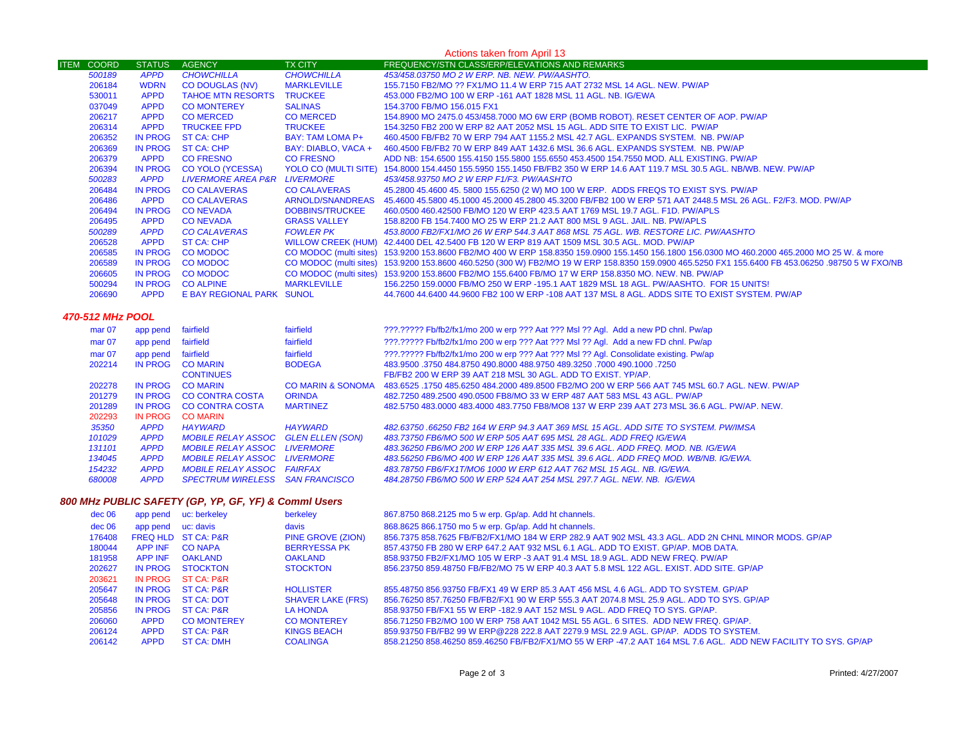| Actions taken from April 13 |                |                                  |                         |                                                                                                                                                  |
|-----------------------------|----------------|----------------------------------|-------------------------|--------------------------------------------------------------------------------------------------------------------------------------------------|
| <b>ITEM COORD</b>           | <b>STATUS</b>  | <b>AGENCY</b>                    | <b>TX CITY</b>          | FREQUENCY/STN CLASS/ERP/ELEVATIONS AND REMARKS                                                                                                   |
| 500189                      | <b>APPD</b>    | <b>CHOWCHILLA</b>                | <b>CHOWCHILLA</b>       | 453/458.03750 MO 2 W ERP. NB. NEW. PW/AASHTO.                                                                                                    |
| 206184                      | <b>WDRN</b>    | <b>CO DOUGLAS (NV)</b>           | <b>MARKLEVILLE</b>      | 155.7150 FB2/MO ?? FX1/MO 11.4 W ERP 715 AAT 2732 MSL 14 AGL. NEW. PW/AP                                                                         |
| 530011                      | <b>APPD</b>    | <b>TAHOE MTN RESORTS TRUCKEE</b> |                         | 453,000 FB2/MO 100 W ERP -161 AAT 1828 MSL 11 AGL, NB, IG/EWA                                                                                    |
| 037049                      | <b>APPD</b>    | <b>CO MONTEREY</b>               | <b>SALINAS</b>          | 154.3700 FB/MO 156.015 FX1                                                                                                                       |
| 206217                      | <b>APPD</b>    | <b>CO MERCED</b>                 | <b>CO MERCED</b>        | 154.8900 MO 2475.0 453/458.7000 MO 6W ERP (BOMB ROBOT). RESET CENTER OF AOP. PW/AP                                                               |
| 206314                      | <b>APPD</b>    | <b>TRUCKEE FPD</b>               | <b>TRUCKEE</b>          | 154,3250 FB2 200 W ERP 82 AAT 2052 MSL 15 AGL, ADD SITE TO EXIST LIC. PW/AP                                                                      |
| 206352                      | IN PROG        | ST CA: CHP                       | <b>BAY: TAM LOMA P+</b> | 460.4500 FB/FB2 70 W ERP 794 AAT 1155.2 MSL 42.7 AGL. EXPANDS SYSTEM. NB. PW/AP                                                                  |
| 206369                      | IN PROG        | ST CA: CHP                       | BAY: DIABLO, VACA +     | 460.4500 FB/FB2 70 W ERP 849 AAT 1432.6 MSL 36.6 AGL. EXPANDS SYSTEM. NB. PW/AP                                                                  |
| 206379                      | <b>APPD</b>    | <b>CO FRESNO</b>                 | <b>CO FRESNO</b>        | ADD NB: 154,6500 155,4150 155,5800 155,6550 453,4500 154,7550 MOD, ALL EXISTING, PW/AP                                                           |
| 206394                      | IN PROG        | <b>CO YOLO (YCESSA)</b>          |                         | YOLO CO (MULTI SITE) 154.8000 154.4450 155.5950 155.1450 FB/FB2 350 W ERP 14.6 AAT 119.7 MSL 30.5 AGL. NB/WB. NEW. PW/AP                         |
| 500283                      | <b>APPD</b>    | LIVERMORE AREA P&R LIVERMORE     |                         | 453/458.93750 MO 2 W ERP F1/F3. PW/AASHTO                                                                                                        |
| 206484                      | <b>IN PROG</b> | <b>CO CALAVERAS</b>              | <b>CO CALAVERAS</b>     | 45.2800 45.4600 45.5800 155.6250 (2 W) MO 100 W ERP. ADDS FREQS TO EXIST SYS. PW/AP                                                              |
| 206486                      | <b>APPD</b>    | <b>CO CALAVERAS</b>              | ARNOLD/SNANDREAS        | 45.4600 45.5800 45.1000 45.2000 45.2800 45.3200 FB/FB2 100 W ERP 571 AAT 2448.5 MSL 26 AGL, F2/F3, MOD, PW/AP                                    |
| 206494                      | IN PROG        | <b>CONEVADA</b>                  | <b>DOBBINS/TRUCKEE</b>  | 460.0500 460.42500 FB/MO 120 W ERP 423.5 AAT 1769 MSL 19.7 AGL. F1D. PW/APLS                                                                     |
| 206495                      | <b>APPD</b>    | <b>CONEVADA</b>                  | <b>GRASS VALLEY</b>     | 158,8200 FB 154,7400 MO 25 W ERP 21.2 AAT 800 MSL 9 AGL, JAIL, NB, PW/APLS                                                                       |
| 500289                      | <b>APPD</b>    | <b>CO CALAVERAS</b>              | <b>FOWLER PK</b>        | 453.8000 FB2/FX1/MO 26 W ERP 544.3 AAT 868 MSL 75 AGL. WB. RESTORE LIC. PW/AASHTO                                                                |
| 206528                      | <b>APPD</b>    | <b>ST CA: CHP</b>                |                         | WILLOW CREEK (HUM) 42.4400 DEL 42.5400 FB 120 W ERP 819 AAT 1509 MSL 30.5 AGL. MOD. PW/AP                                                        |
| 206585                      | IN PROG        | <b>CO MODOC</b>                  |                         | CO MODOC (multi sites) 153.9200 153.8600 FB2/MO 400 W ERP 158.8350 159.0900 155.1450 156.1800 156.0300 MO 460.2000 465.2000 MO 25 W. & more      |
| 206589                      | IN PROG        | <b>CO MODOC</b>                  |                         | CO MODOC (multi sites) 153.9200 153.8600 460.5250 (300 W) FB2/MO 19 W ERP 158.8350 159.0900 465.5250 FX1 155.6400 FB 453.06250 .98750 5 W FXO/NB |
| 206605                      | IN PROG        | <b>CO MODOC</b>                  |                         | CO MODOC (multi sites) 153.9200 153.8600 FB2/MO 155.6400 FB/MO 17 W ERP 158.8350 MO. NEW. NB. PW/AP                                              |
| 500294                      | IN PROG        | <b>CO ALPINE</b>                 | <b>MARKLEVILLE</b>      | 156.2250 159,0000 FB/MO 250 W ERP -195.1 AAT 1829 MSL 18 AGL, PW/AASHTO, FOR 15 UNITS!                                                           |
| 206690                      | <b>APPD</b>    | E BAY REGIONAL PARK SUNOL        |                         | 44.7600 44.6400 44.9600 FB2 100 W ERP -108 AAT 137 MSL 8 AGL. ADDS SITE TO EXIST SYSTEM, PW/AP                                                   |

## *470-512 MHz POOL*

| mar <sub>07</sub> | app pend    | fairfield                           | fairfield                    | ???.????? Fb/fb2/fx1/mo 200 w erp ??? Aat ??? Msl ?? Agl. Add a new PD chnl. Pw/ap              |
|-------------------|-------------|-------------------------------------|------------------------------|-------------------------------------------------------------------------------------------------|
| mar <sub>07</sub> | app pend    | fairfield                           | fairfield                    | 222.22222 Fb/fb2/fx1/mo 200 w erp ??? Aat ??? Msl ?? Agl. Add a new FD chnl. Pw/ap              |
| mar <sub>07</sub> | app pend    | fairfield                           | fairfield                    | ???.????? Fb/fb2/fx1/mo 200 w erp ??? Aat ??? Msl ?? Agl. Consolidate existing. Pw/ap           |
| 202214            | IN PROG     | <b>CO MARIN</b>                     | <b>BODEGA</b>                | 483,9500 .3750 484,8750 490,8000 488,9750 489,3250 .7000 490,1000 .7250                         |
|                   |             | <b>CONTINUES</b>                    |                              | FB/FB2 200 W ERP 39 AAT 218 MSL 30 AGL. ADD TO EXIST, YP/AP.                                    |
| 202278            | IN PROG     | <b>CO MARIN</b>                     | <b>CO MARIN &amp; SONOMA</b> | 483,6525 .1750 485,6250 484,2000 489,8500 FB2/MO 200 W ERP 566 AAT 745 MSL 60.7 AGL. NEW, PW/AP |
| 201279            | IN PROG     | CO CONTRA COSTA                     | <b>ORINDA</b>                | 482.7250 489.2500 490.0500 FB8/MO 33 W ERP 487 AAT 583 MSL 43 AGL. PW/AP                        |
| 201289            | IN PROG     | CO CONTRA COSTA                     | <b>MARTINEZ</b>              | 482,5750 483,0000 483,4000 483,7750 FB8/MO8 137 W ERP 239 AAT 273 MSL 36.6 AGL, PW/AP, NEW.     |
| 202293            | IN PROG     | <b>CO MARIN</b>                     |                              |                                                                                                 |
| 35350             | <b>APPD</b> | <b>HAYWARD</b>                      | <b>HAYWARD</b>               | 482.63750.66250 FB2 164 W ERP 94.3 AAT 369 MSL 15 AGL. ADD SITE TO SYSTEM. PW/IMSA              |
| 101029            | <b>APPD</b> | MOBILE RELAY ASSOC GLEN ELLEN (SON) |                              | 483.73750 FB6/MO 500 W ERP 505 AAT 695 MSL 28 AGL. ADD FREQ IG/EWA                              |
| 131101            | <b>APPD</b> | <b>MOBILE RELAY ASSOC LIVERMORE</b> |                              | 483.36250 FB6/MO 200 W ERP 126 AAT 335 MSL 39.6 AGL. ADD FREO, MOD, NB, IG/EWA                  |
| 134045            | <b>APPD</b> | <i>MOBILE RELAY ASSOC</i>           | <b>I IVERMORE</b>            | 483.56250 FB6/MO 400 W ERP 126 AAT 335 MSL 39.6 AGL. ADD FREQ MOD, WB/NB, IG/EWA.               |
| 154232            | <b>APPD</b> | <b>MOBILE RELAY ASSOC FAIRFAX</b>   |                              | 483.78750 FB6/FX1T/MO6 1000 W ERP 612 AAT 762 MSL 15 AGL, NB, IG/EWA,                           |
| 680008            | <b>APPD</b> | SPECTRUM WIRELESS SAN FRANCISCO     |                              | 484.28750 FB6/MO 500 W ERP 524 AAT 254 MSL 297.7 AGL. NEW. NB. IG/EWA                           |

## *800 MHz PUBLIC SAFETY (GP, YP, GF, YF) & Comml Users*

| dec 06   | app pend       | uc: berkeley                   | berkeley                 | 867.8750 868.2125 mo 5 w erp. Gp/ap. Add ht channels.                                                          |
|----------|----------------|--------------------------------|--------------------------|----------------------------------------------------------------------------------------------------------------|
| $dec$ 06 | app pend       | uc: davis                      | davis                    | 868.8625 866.1750 mo 5 w erp. Gp/ap. Add ht channels.                                                          |
| 176408   |                | <b>FREQ HLD ST CA: P&amp;R</b> | PINE GROVE (ZION)        | 856.7375 858.7625 FB/FB2/FX1/MO 184 W ERP 282.9 AAT 902 MSL 43.3 AGL. ADD 2N CHNL MINOR MODS. GP/AP            |
| 180044   | APP INF        | CO NAPA                        | <b>BERRYESSA PK</b>      | 857.43750 FB 280 W ERP 647.2 AAT 932 MSL 6.1 AGL, ADD TO EXIST, GP/AP, MOB DATA,                               |
| 181958   | <b>APP INF</b> | <b>OAKLAND</b>                 | <b>OAKLAND</b>           | 858.93750 FB2/FX1/MO 105 W ERP -3 AAT 91.4 MSL 18.9 AGL, ADD NEW FREQ, PW/AP                                   |
| 202627   | <b>IN PROG</b> | <b>STOCKTON</b>                | <b>STOCKTON</b>          | 856.23750 859.48750 FB/FB2/MO 75 W ERP 40.3 AAT 5.8 MSL 122 AGL. EXIST. ADD SITE. GP/AP                        |
| 203621   | <b>IN PROG</b> | ST CA: P&R                     |                          |                                                                                                                |
| 205647   | IN PROG        | <b>ST CA: P&amp;R</b>          | <b>HOLLISTER</b>         | 855-48750 856-93750 FB/FX1 49 W ERP 85.3 AAT 456 MSL 4.6 AGL, ADD TO SYSTEM, GP/AP                             |
| 205648   | IN PROG        | <b>ST CA: DOT</b>              | <b>SHAVER LAKE (FRS)</b> | 856.76250 857.76250 FB/FB2/FX1 90 W ERP 555.3 AAT 2074.8 MSL 25.9 AGL. ADD TO SYS. GP/AP                       |
| 205856   | IN PROG        | <b>ST CA: P&amp;R</b>          | <b>LA HONDA</b>          | 858,93750 FB/FX1 55 W ERP -182.9 AAT 152 MSL 9 AGL. ADD FREQ TO SYS, GP/AP.                                    |
| 206060   | <b>APPD</b>    | <b>CO MONTEREY</b>             | <b>CO MONTEREY</b>       | 856.71250 FB2/MO 100 W ERP 758 AAT 1042 MSL 55 AGL, 6 SITES. ADD NEW FREQ, GP/AP.                              |
| 206124   | <b>APPD</b>    | <b>ST CA: P&amp;R</b>          | KINGS BEACH              | 859,93750 FB/FB2 99 W ERP@228 222.8 AAT 2279.9 MSL 22.9 AGL, GP/AP, ADDS TO SYSTEM.                            |
| 206142   | <b>APPD</b>    | <b>ST CA: DMH</b>              | <b>COALINGA</b>          | 858.21250 858.46250 859.46250 FB/FB2/FX1/MO 55 W ERP -47.2 AAT 164 MSL 7.6 AGL. ADD NEW FACILITY TO SYS. GP/AP |
|          |                |                                |                          |                                                                                                                |